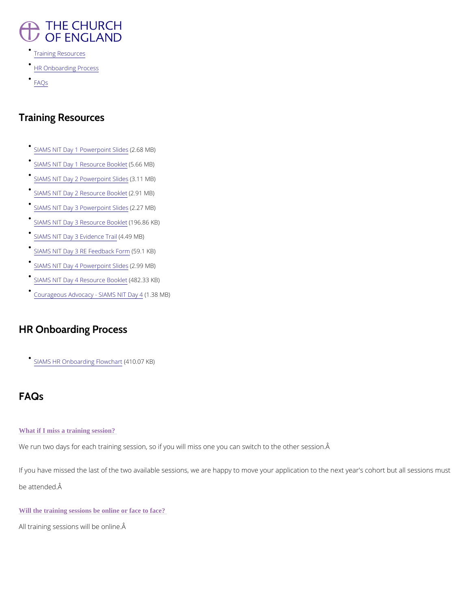### **THE CHURCH** OF ENGLAND

- [Training Res](/node/43520/printable/bbd_pdf_format#training-resources)ources
- [HR Onboarding](/node/43520/printable/bbd_pdf_format#hr-onboarding-process) Process
- [FAQ](/node/43520/printable/bbd_pdf_format#faqs)s

# Training Resources

- [SIAMS NIT Day 1 Pow](/sites/default/files/2022-04/siams_inspector_training_2022_-_day_1_slides.pdf)e(r $x$ -68 internal ides
- [SIAMS NIT Day 1 Res](/sites/default/files/2022-04/day_1_resource_booklet.docx)o(U5r.666 BMoBo)klet
- [SIAMS NIT Day 2 Pow](/sites/default/files/2022-05/SIAMS Inspector Training 2022  Day 2 Slides.pdf)e(r3p.dint MSBI) ides
- [SIAMS NIT Day 2 Res](/sites/default/files/2022-05/Day 2 Booklet.docx)o(U2r. @ et BMoBo)klet
- [SIAMS NIT Day 3 Pow](/sites/default/files/2022-05/SIAMS Inspector Training 2022  Day 3 Slides.pdf)e(r2p. Qi7n tMSBI) ides
- [SIAMS NIT Day 3 Res](/sites/default/files/2022-05/Day 3 Unit Book.docx)o(ulr9c6e.8860 KKB) et
- [SIAMS NIT Day 3 E](/sites/default/files/2022-05/Evidence Trail_0.pdf)v(i4d.e4r9c MB) ail
- [SIAMS NIT Day 3 RE F](/sites/default/files/2022-05/RE feedback form NS.docx)  $658$  b1a oKB Form
- $SIAMS$  NIT Day 4 Powe( $PQ$ ).  $QQ$ i $Q$ n t $MB$ l) ides
- [SIAMS NIT Day 4 Res](/sites/default/files/2022-06/Day 4 Booklet Final.docx)o(u4r8c2e.3B3ooKKB) et
- [Courageous Advocacy S](/sites/default/files/2022-06/180521 Courageous Advocacy (final).pdf)I(AM358 MM B) Day 4

If you have missed the last of the two available sessions, we are happy to move your applica be attended.

Will the training sessions be online or face to face?

## HR Onboarding Process

### $SIAMS$  HR Onboarding  $4H$   $0$ .  $0$   $\bar{\mathcal{C}}$  hka  $B$ t)

## FAQs

#### What if I miss a training session?

We run two days for each training session, so if you will miss one you can switch to the othe

All training sessions will be online.